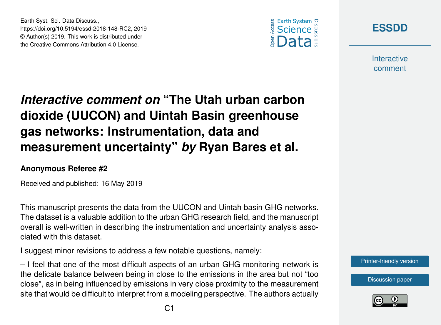





**Interactive** comment

# *Interactive comment on* **"The Utah urban carbon dioxide (UUCON) and Uintah Basin greenhouse gas networks: Instrumentation, data and measurement uncertainty"** *by* **Ryan Bares et al.**

#### **Anonymous Referee #2**

Received and published: 16 May 2019

This manuscript presents the data from the UUCON and Uintah basin GHG networks. The dataset is a valuable addition to the urban GHG research field, and the manuscript overall is well-written in describing the instrumentation and uncertainty analysis associated with this dataset.

I suggest minor revisions to address a few notable questions, namely:

– I feel that one of the most difficult aspects of an urban GHG monitoring network is the delicate balance between being in close to the emissions in the area but not "too close", as in being influenced by emissions in very close proximity to the measurement site that would be difficult to interpret from a modeling perspective. The authors actually



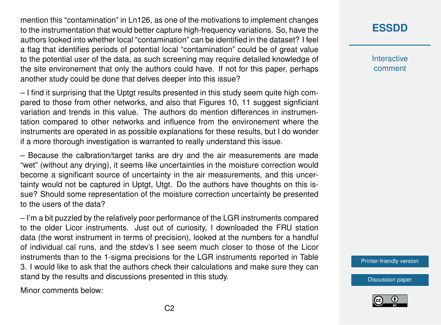mention this "contamination" in Ln126, as one of the motivations to implement changes to the instrumentation that would better capture high-frequency variations. So, have the authors looked into whether local "contamination" can be identified in the dataset? I feel a flag that identifies periods of potential local "contamination" could be of great value to the potential user of the data, as such screening may require detailed knowledge of the site environement that only the authors could have. If not for this paper, perhaps another study could be done that delves deeper into this issue?

– I find it surprising that the Uptgt results presented in this study seem quite high compared to those from other networks, and also that Figures 10, 11 suggest signficiant variation and trends in this value. The authors do mention differences in instrumentation compared to other networks and influence from the environement where the instruments are operated in as possible explanations for these results, but I do wonder if a more thorough investigation is warranted to really understand this issue.

– Because the calbration/target tanks are dry and the air measurements are made "wet" (without any drying), it seems like uncertainties in the moisture correction would become a significant source of uncertainty in the air measurements, and this uncertainty would not be captured in Uptgt, Utgt. Do the authors have thoughts on this issue? Should some representation of the moisture correction uncertainty be presented to the users of the data?

– I'm a bit puzzled by the relatively poor performance of the LGR instruments compared to the older Licor instruments. Just out of curiosity, I downloaded the FRU station data (the worst instrument in terms of precision), looked at the numbers for a handful of individual cal runs, and the stdev's I see seem much closer to those of the Licor instruments than to the 1-sigma precisions for the LGR instruments reported in Table 3. I would like to ask that the authors check their calculations and make sure they can stand by the results and discussions presented in this study.

Minor comments below:

### **[ESSDD](https://www.earth-syst-sci-data-discuss.net/)**

**Interactive** comment

[Printer-friendly version](https://www.earth-syst-sci-data-discuss.net/essd-2018-148/essd-2018-148-RC2-print.pdf)

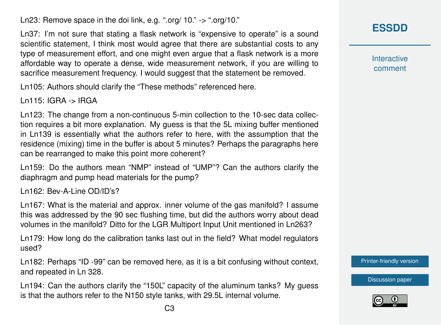Ln23: Remove space in the doi link, e.g. ".org/ 10." -> ".org/10."

Ln37: I'm not sure that stating a flask network is "expensive to operate" is a sound scientific statement, I think most would agree that there are substantial costs to any type of measurement effort, and one might even argue that a flask network is a more affordable way to operate a dense, wide measurement network, if you are willing to sacrifice measurement frequency. I would suggest that the statement be removed.

Ln105: Authors should clarify the "These methods" referenced here.

Ln115: IGRA -> IRGA

Ln123: The change from a non-continuous 5-min collection to the 10-sec data collection requires a bit more explanation. My guess is that the 5L mixing buffer mentioned in Ln139 is essentially what the authors refer to here, with the assumption that the residence (mixing) time in the buffer is about 5 minutes? Perhaps the paragraphs here can be rearranged to make this point more coherent?

Ln159: Do the authors mean "NMP" instead of "UMP"? Can the authors clarify the diaphragm and pump head materials for the pump?

Ln162: Bev-A-Line OD/ID's?

Ln167: What is the material and approx. inner volume of the gas manifold? I assume this was addressed by the 90 sec flushing time, but did the authors worry about dead volumes in the manifold? Ditto for the LGR Multiport Input Unit mentioned in Ln263?

Ln179: How long do the calibration tanks last out in the field? What model regulators used?

Ln182: Perhaps "ID -99" can be removed here, as it is a bit confusing without context, and repeated in Ln 328.

Ln194: Can the authors clarify the "150L" capacity of the aluminum tanks? My guess is that the authors refer to the N150 style tanks, with 29.5L internal volume.

**[ESSDD](https://www.earth-syst-sci-data-discuss.net/)**

**Interactive** comment

[Printer-friendly version](https://www.earth-syst-sci-data-discuss.net/essd-2018-148/essd-2018-148-RC2-print.pdf)

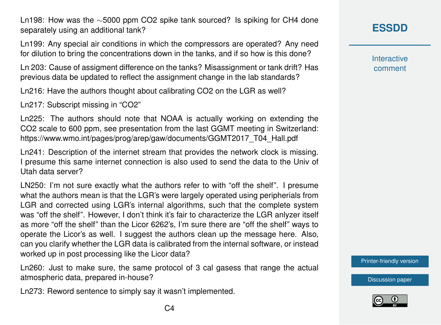Ln198: How was the ∼5000 ppm CO2 spike tank sourced? Is spiking for CH4 done separately using an additional tank?

Ln199: Any special air conditions in which the compressors are operated? Any need for dilution to bring the concentrations down in the tanks, and if so how is this done?

Ln 203: Cause of assigment difference on the tanks? Misassignment or tank drift? Has previous data be updated to reflect the assignment change in the lab standards?

Ln216: Have the authors thought about calibrating CO2 on the LGR as well?

Ln217: Subscript missing in "CO2"

Ln225: The authors should note that NOAA is actually working on extending the CO2 scale to 600 ppm, see presentation from the last GGMT meeting in Switzerland: https://www.wmo.int/pages/prog/arep/gaw/documents/GGMT2017\_T04\_Hall.pdf

Ln241: Description of the internet stream that provides the network clock is missing. I presume this same internet connection is also used to send the data to the Univ of Utah data server?

LN250: I'm not sure exactly what the authors refer to with "off the shelf". I presume what the authors mean is that the LGR's were largely operated using peripherials from LGR and corrected using LGR's internal algorithms, such that the complete system was "off the shelf". However, I don't think it's fair to characterize the LGR anlyzer itself as more "off the shelf" than the Licor 6262's, I'm sure there are "off the shelf" ways to operate the Licor's as well. I suggest the authors clean up the message here. Also, can you clarify whether the LGR data is calibrated from the internal software, or instead worked up in post processing like the Licor data?

Ln260: Just to make sure, the same protocol of 3 cal gasess that range the actual atmospheric data, prepared in-house?

Ln273: Reword sentence to simply say it wasn't implemented.

**Interactive** comment

[Printer-friendly version](https://www.earth-syst-sci-data-discuss.net/essd-2018-148/essd-2018-148-RC2-print.pdf)

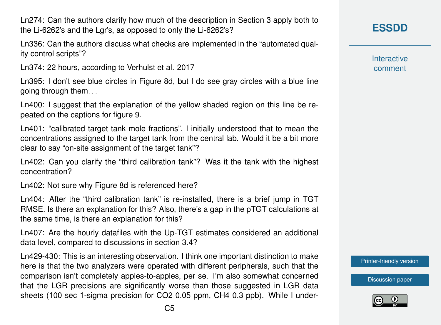Ln274: Can the authors clarify how much of the description in Section 3 apply both to the Li-6262's and the Lgr's, as opposed to only the Li-6262's?

Ln336: Can the authors discuss what checks are implemented in the "automated quality control scripts"?

Ln374: 22 hours, according to Verhulst et al. 2017

Ln395: I don't see blue circles in Figure 8d, but I do see gray circles with a blue line going through them. . .

Ln400: I suggest that the explanation of the yellow shaded region on this line be repeated on the captions for figure 9.

Ln401: "calibrated target tank mole fractions", I initially understood that to mean the concentrations assigned to the target tank from the central lab. Would it be a bit more clear to say "on-site assignment of the target tank"?

Ln402: Can you clarify the "third calibration tank"? Was it the tank with the highest concentration?

Ln402: Not sure why Figure 8d is referenced here?

Ln404: After the "third calibration tank" is re-installed, there is a brief jump in TGT RMSE. Is there an explanation for this? Also, there's a gap in the pTGT calculations at the same time, is there an explanation for this?

Ln407: Are the hourly datafiles with the Up-TGT estimates considered an additional data level, compared to discussions in section 3.4?

Ln429-430: This is an interesting observation. I think one important distinction to make here is that the two analyzers were operated with different peripherals, such that the comparison isn't completely apples-to-apples, per se. I'm also somewhat concerned that the LGR precisions are significantly worse than those suggested in LGR data sheets (100 sec 1-sigma precision for CO2 0.05 ppm, CH4 0.3 ppb). While I under**[ESSDD](https://www.earth-syst-sci-data-discuss.net/)**

**Interactive** comment

[Printer-friendly version](https://www.earth-syst-sci-data-discuss.net/essd-2018-148/essd-2018-148-RC2-print.pdf)

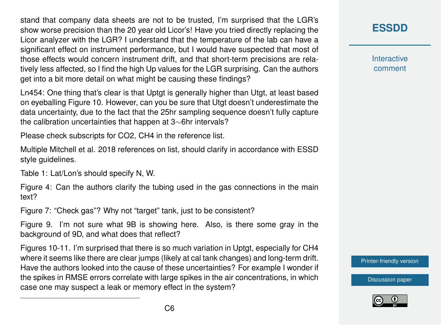stand that company data sheets are not to be trusted, I'm surprised that the LGR's show worse precision than the 20 year old Licor's! Have you tried directly replacing the Licor analyzer with the LGR? I understand that the temperature of the lab can have a significant effect on instrument performance, but I would have suspected that most of those effects would concern instrument drift, and that short-term precisions are relatively less affected, so I find the high Up values for the LGR surprising. Can the authors get into a bit more detail on what might be causing these findings?

Ln454: One thing that's clear is that Uptgt is generally higher than Utgt, at least based on eyeballing Figure 10. However, can you be sure that Utgt doesn't underestimate the data uncertainty, due to the fact that the 25hr sampling sequence doesn't fully capture the calibration uncertainties that happen at 3∼6hr intervals?

Please check subscripts for CO2, CH4 in the reference list.

Multiple Mitchell et al. 2018 references on list, should clarify in accordance with ESSD style guidelines.

Table 1: Lat/Lon's should specify N, W.

Figure 4: Can the authors clarify the tubing used in the gas connections in the main text?

Figure 7: "Check gas"? Why not "target" tank, just to be consistent?

Figure 9. I'm not sure what 9B is showing here. Also, is there some gray in the background of 9D, and what does that reflect?

Figures 10-11. I'm surprised that there is so much variation in Uptgt, especially for CH4 where it seems like there are clear jumps (likely at cal tank changes) and long-term drift. Have the authors looked into the cause of these uncertainties? For example I wonder if the spikes in RMSE errors correlate with large spikes in the air concentrations, in which case one may suspect a leak or memory effect in the system?

## **[ESSDD](https://www.earth-syst-sci-data-discuss.net/)**

**Interactive** comment

[Printer-friendly version](https://www.earth-syst-sci-data-discuss.net/essd-2018-148/essd-2018-148-RC2-print.pdf)